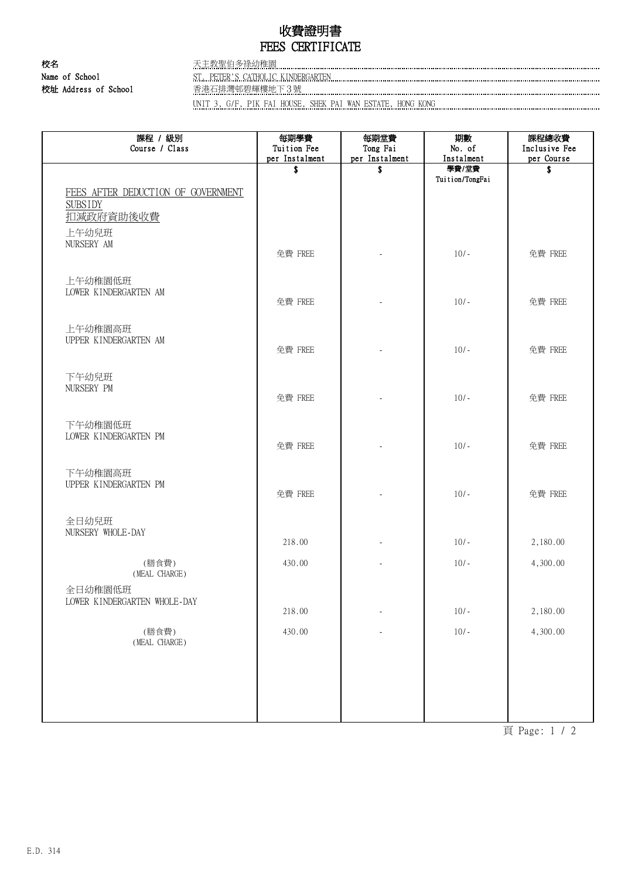## 收費證明書 FEES CERTIFICATE

校名 天主教聖伯多祿幼稚園 校址 Address of School 香港石排灣邨碧輝樓地下3號

Name of School ST. PETER'S CATHOLIC KINDERGARTEN

UNIT 3, G/F, PIK FAI HOUSE, SHEK PAI WAN ESTATE, HONG KONG

| 課程 / 級別<br>Course / Class                                                                  | 每期學費<br>Tuition Fee<br>per Instalment | 每期堂費<br>Tong Fai<br>per Instalment | 期數<br>No. of<br>Instalment | 課程總收費<br>Inclusive Fee<br>per Course |
|--------------------------------------------------------------------------------------------|---------------------------------------|------------------------------------|----------------------------|--------------------------------------|
|                                                                                            | \$                                    | \$                                 | 學費/堂費<br>Tuition/TongFai   | \$                                   |
| FEES AFTER DEDUCTION OF GOVERNMENT<br><b>SUBSIDY</b><br>扣减政府資助後收費<br>上午幼兒班                 |                                       |                                    |                            |                                      |
| NURSERY AM                                                                                 | 免費 FREE                               |                                    | $10/-$                     | 免費 FREE                              |
| 上午幼稚園低班<br>LOWER KINDERGARTEN AM                                                           | 免費 FREE                               |                                    | $10/-$                     | 免費 FREE                              |
| 上午幼稚園高班<br>UPPER KINDERGARTEN AM                                                           | 免費 FREE                               |                                    | $10/-$                     | 免費 FREE                              |
| 下午幼兒班<br>NURSERY PM                                                                        | 免費 FREE                               |                                    | $10/-$                     | 免費 FREE                              |
| 下午幼稚園低班<br>LOWER KINDERGARTEN PM                                                           | 免費 FREE                               |                                    | $10/-$                     | 免費 FREE                              |
| 下午幼稚園高班<br>UPPER KINDERGARTEN PM                                                           | 免費 FREE                               |                                    | $10/-$                     | 免費 FREE                              |
| 全日幼兒班<br>NURSERY WHOLE-DAY                                                                 | 218.00                                |                                    | $10/-$                     | 2,180.00                             |
| (膳食費)                                                                                      | 430.00                                |                                    | $10/-$                     | 4,300.00                             |
| (MEAL CHARGE)<br>全日幼稚園低班<br>LOWER KINDERGARTEN WHOLE-DAY                                   | 218.00                                |                                    | $10/-$                     | 2,180.00                             |
| (膳食費)<br>$(\operatorname{\texttt{MEAL}}\nolimits \operatorname{\texttt{CHARGE}}\nolimits)$ | 430.00                                |                                    | $10/-$                     | 4,300.00                             |
|                                                                                            |                                       |                                    |                            |                                      |
|                                                                                            |                                       |                                    |                            |                                      |

頁 Page: 1 / 2